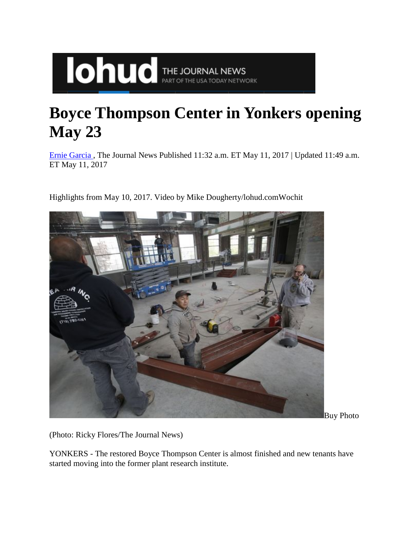## **Boyce Thompson Center in Yonkers opening May 23**

[Ernie Garcia ,](http://www.lohud.com/staff/8923/ernie-garcia/) The Journal News Published 11:32 a.m. ET May 11, 2017 | Updated 11:49 a.m. ET May 11, 2017

Highlights from May 10, 2017. Video by Mike Dougherty/lohud.comWochit

**IONUC** THE JOURNAL NEWS



Buy Photo

(Photo: Ricky Flores/The Journal News)

YONKERS - The restored Boyce Thompson Center is almost finished and new tenants have started moving into the former plant research institute.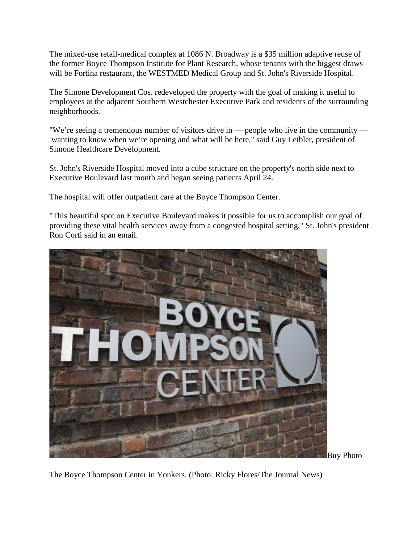The mixed-use retail-medical complex at 1086 N. Broadway is a \$35 million adaptive reuse of the former Boyce Thompson Institute for Plant Research, whose tenants with the biggest draws will be Fortina restaurant, the WESTMED Medical Group and St. John's Riverside Hospital.

The Simone Development Cos. redeveloped the property with the goal of making it useful to employees at the adjacent Southern Westchester Executive Park and residents of the surrounding neighborhoods.

"We're seeing a tremendous number of visitors drive in — people who live in the community wanting to know when we're opening and what will be here," said Guy Leibler, president of Simone Healthcare Development.

St. John's Riverside Hospital moved into a cube structure on the property's north side next to Executive Boulevard last month and began seeing patients April 24.

The hospital will offer outpatient care at the Boyce Thompson Center.

"This beautiful spot on Executive Boulevard makes it possible for us to accomplish our goal of providing these vital health services away from a congested hospital setting," St. John's president Ron Corti said in an email.



Buy Photo

The Boyce Thompson Center in Yonkers. (Photo: Ricky Flores/The Journal News)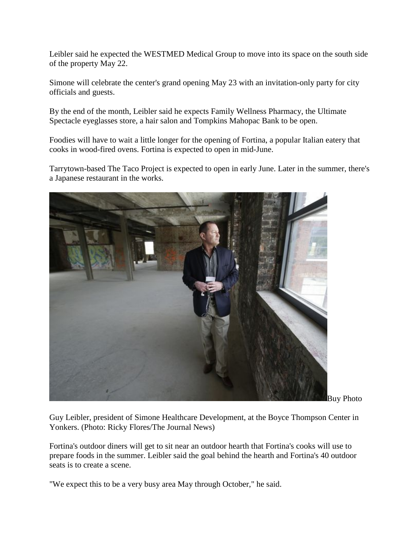Leibler said he expected the WESTMED Medical Group to move into its space on the south side of the property May 22.

Simone will celebrate the center's grand opening May 23 with an invitation-only party for city officials and guests.

By the end of the month, Leibler said he expects Family Wellness Pharmacy, the Ultimate Spectacle eyeglasses store, a hair salon and Tompkins Mahopac Bank to be open.

Foodies will have to wait a little longer for the opening of Fortina, a popular Italian eatery that cooks in wood-fired ovens. Fortina is expected to open in mid-June.

Tarrytown-based The Taco Project is expected to open in early June. Later in the summer, there's a Japanese restaurant in the works.



Buy Photo

Guy Leibler, president of Simone Healthcare Development, at the Boyce Thompson Center in Yonkers. (Photo: Ricky Flores/The Journal News)

Fortina's outdoor diners will get to sit near an outdoor hearth that Fortina's cooks will use to prepare foods in the summer. Leibler said the goal behind the hearth and Fortina's 40 outdoor seats is to create a scene.

"We expect this to be a very busy area May through October," he said.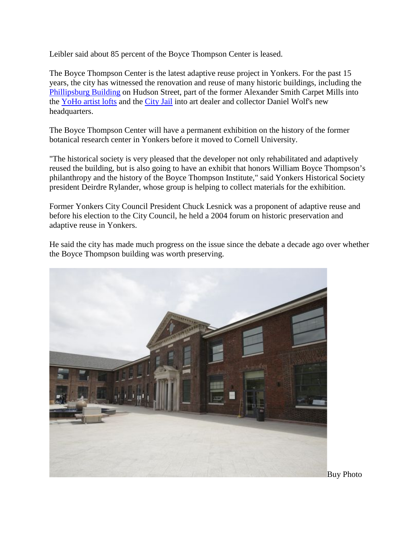Leibler said about 85 percent of the Boyce Thompson Center is leased.

The Boyce Thompson Center is the latest adaptive reuse project in Yonkers. For the past 15 years, the city has witnessed the renovation and reuse of many historic buildings, including the [Phillipsburg Building](https://en.wikipedia.org/wiki/Philipsburgh_Building) on Hudson Street, part of the former Alexander Smith Carpet Mills into the [YoHo artist lofts](http://www.yohoartists.org/) and the [City Jail](http://www.lohud.com/story/news/local/westchester/yonkers/2014/08/28/yonkers-city-jail-construction-begins/14735593/) into art dealer and collector Daniel Wolf's new headquarters.

The Boyce Thompson Center will have a permanent exhibition on the history of the former botanical research center in Yonkers before it moved to Cornell University.

"The historical society is very pleased that the developer not only rehabilitated and adaptively reused the building, but is also going to have an exhibit that honors William Boyce Thompson's philanthropy and the history of the Boyce Thompson Institute," said Yonkers Historical Society president Deirdre Rylander, whose group is helping to collect materials for the exhibition.

Former Yonkers City Council President Chuck Lesnick was a proponent of adaptive reuse and before his election to the City Council, he held a 2004 forum on historic preservation and adaptive reuse in Yonkers.

He said the city has made much progress on the issue since the debate a decade ago over whether the Boyce Thompson building was worth preserving.